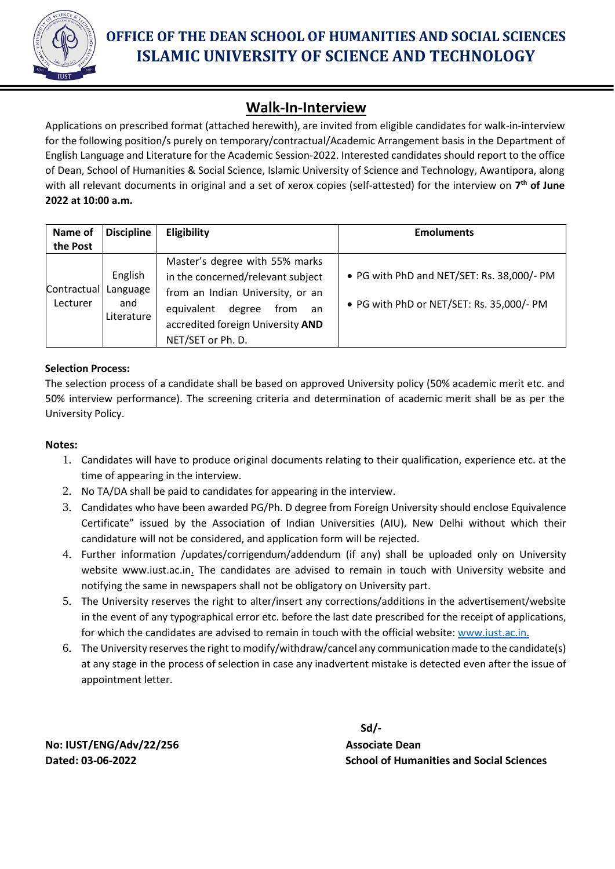

# **OFFICE OF THE DEAN SCHOOL OF HUMANITIES AND SOCIAL SCIENCES ISLAMIC UNIVERSITY OF SCIENCE AND TECHNOLOGY**

## **Walk-In-Interview**

Applications on prescribed format (attached herewith), are invited from eligible candidates for walk-in-interview for the following position/s purely on temporary/contractual/Academic Arrangement basis in the Department of English Language and Literature for the Academic Session-2022. Interested candidates should report to the office of Dean, School of Humanities & Social Science, Islamic University of Science and Technology, Awantipora, along with all relevant documents in original and a set of xerox copies (self-attested) for the interview on **7 th of June 2022 at 10:00 a.m.** 

| Name of<br>the Post     | <b>Discipline</b>                        | Eligibility                                                                                                                                                                                             | <b>Emoluments</b>                                                                       |
|-------------------------|------------------------------------------|---------------------------------------------------------------------------------------------------------------------------------------------------------------------------------------------------------|-----------------------------------------------------------------------------------------|
| Contractual<br>Lecturer | English<br>Language<br>and<br>Literature | Master's degree with 55% marks<br>in the concerned/relevant subject<br>from an Indian University, or an<br>degree<br>equivalent<br>from<br>an<br>accredited foreign University AND<br>NET/SET or Ph. D. | • PG with PhD and NET/SET: Rs. 38,000/- PM<br>• PG with PhD or NET/SET: Rs. 35,000/- PM |

### **Selection Process:**

The selection process of a candidate shall be based on approved University policy (50% academic merit etc. and 50% interview performance). The screening criteria and determination of academic merit shall be as per the University Policy.

#### **Notes:**

- 1. Candidates will have to produce original documents relating to their qualification, experience etc. at the time of appearing in the interview.
- 2. No TA/DA shall be paid to candidates for appearing in the interview.
- 3. Candidates who have been awarded PG/Ph. D degree from Foreign University should enclose Equivalence Certificate" issued by the Association of Indian Universities (AIU), New Delhi without which their candidature will not be considered, and application form will be rejected.
- 4. Further information /updates/corrigendum/addendum (if any) shall be uploaded only on University website www.iust.ac.in. The candidates are advised to remain in touch with University website and notifying the same in newspapers shall not be obligatory on University part.
- 5. The University reserves the right to alter/insert any corrections/additions in the advertisement/website in the event of any typographical error etc. before the last date prescribed for the receipt of applications, for which the candidates are advised to remain in touch with the official website: www.iust.ac.in.
- 6. The University reserves the right to modify/withdraw/cancel any communication made to the candidate(s) at any stage in the process of selection in case any inadvertent mistake is detected even after the issue of appointment letter.

 **Sd/-**

**Dated: 03-06-2022 School of Humanities and Social Sciences**

**No: IUST/ENG/Adv/22/256 Associate Dean**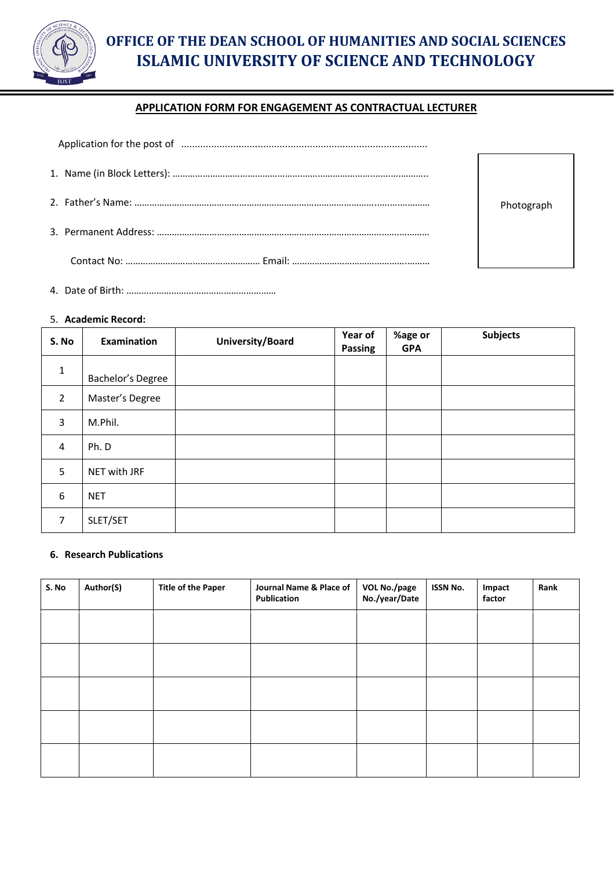

## **OFFICE OF THE DEAN SCHOOL OF HUMANITIES AND SOCIAL SCIENCES ISLAMIC UNIVERSITY OF SCIENCE AND TECHNOLOGY**

### **APPLICATION FORM FOR ENGAGEMENT AS CONTRACTUAL LECTURER**

| Application for the post of manufactured contains and application for the post of manufactured contains and application for the post of |            |
|-----------------------------------------------------------------------------------------------------------------------------------------|------------|
|                                                                                                                                         |            |
|                                                                                                                                         | Photograph |
|                                                                                                                                         |            |
|                                                                                                                                         |            |

4. Date of Birth: ……………………………………………………

#### 5. **Academic Record:**

| S. No          | Examination       | University/Board | Year of<br>Passing | %age or<br><b>GPA</b> | <b>Subjects</b> |
|----------------|-------------------|------------------|--------------------|-----------------------|-----------------|
| $\mathbf{1}$   | Bachelor's Degree |                  |                    |                       |                 |
| $\overline{2}$ | Master's Degree   |                  |                    |                       |                 |
| 3              | M.Phil.           |                  |                    |                       |                 |
| $\overline{4}$ | Ph. D             |                  |                    |                       |                 |
| 5              | NET with JRF      |                  |                    |                       |                 |
| 6              | <b>NET</b>        |                  |                    |                       |                 |
| $\overline{7}$ | SLET/SET          |                  |                    |                       |                 |

#### **6. Research Publications**

| S. No | Author(S) | <b>Title of the Paper</b> | Journal Name & Place of<br>Publication | VOL No./page<br>No./year/Date | <b>ISSN No.</b> | Impact<br>factor | Rank |
|-------|-----------|---------------------------|----------------------------------------|-------------------------------|-----------------|------------------|------|
|       |           |                           |                                        |                               |                 |                  |      |
|       |           |                           |                                        |                               |                 |                  |      |
|       |           |                           |                                        |                               |                 |                  |      |
|       |           |                           |                                        |                               |                 |                  |      |
|       |           |                           |                                        |                               |                 |                  |      |